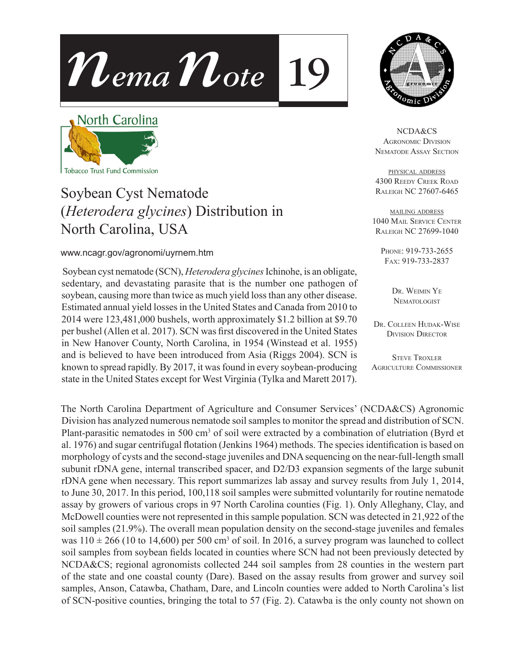



North Carolina



# Soybean Cyst Nematode (*Heterodera glycines*) Distribution in North Carolina, USA

#### www.ncagr.gov/agronomi/uyrnem.htm

 Soybean cyst nematode (SCN), *Heterodera glycines* Ichinohe, is an obligate, sedentary, and devastating parasite that is the number one pathogen of soybean, causing more than twice as much yield loss than any other disease. Estimated annual yield losses in the United States and Canada from 2010 to 2014 were 123,481,000 bushels, worth approximately \$1.2 billion at \$9.70 per bushel (Allen et al. 2017). SCN was first discovered in the United States in New Hanover County, North Carolina, in 1954 (Winstead et al. 1955) and is believed to have been introduced from Asia (Riggs 2004). SCN is known to spread rapidly. By 2017, it was found in every soybean-producing state in the United States except for West Virginia (Tylka and Marett 2017).

NCDA&CS Agronomic Division Nematode Assay Section

physical address 4300 Reedy Creek Road Raleigh NC 27607-6465

mailing address 1040 Mail Service Center Raleigh NC 27699-1040

Phone: 919-733-2655 Fax: 919-733-2837

> DR. WEIMIN YE **NEMATOLOGIST**

Dr. Colleen Hudak-Wise Division Director

**STEVE TROXLER** Agriculture Commissioner

The North Carolina Department of Agriculture and Consumer Services' (NCDA&CS) Agronomic Division has analyzed numerous nematode soil samples to monitor the spread and distribution of SCN. Plant-parasitic nematodes in 500 cm<sup>3</sup> of soil were extracted by a combination of elutriation (Byrd et al. 1976) and sugar centrifugal flotation (Jenkins 1964) methods. The species identification is based on morphology of cysts and the second-stage juveniles and DNA sequencing on the near-full-length small subunit rDNA gene, internal transcribed spacer, and D2/D3 expansion segments of the large subunit rDNA gene when necessary. This report summarizes lab assay and survey results from July 1, 2014, to June 30, 2017. In this period, 100,118 soil samples were submitted voluntarily for routine nematode assay by growers of various crops in 97 North Carolina counties (Fig. 1). Only Alleghany, Clay, and McDowell counties were not represented in this sample population. SCN was detected in 21,922 of the soil samples (21.9%). The overall mean population density on the second-stage juveniles and females was  $110 \pm 266$  (10 to 14,600) per 500 cm<sup>3</sup> of soil. In 2016, a survey program was launched to collect soil samples from soybean fields located in counties where SCN had not been previously detected by NCDA&CS; regional agronomists collected 244 soil samples from 28 counties in the western part of the state and one coastal county (Dare). Based on the assay results from grower and survey soil samples, Anson, Catawba, Chatham, Dare, and Lincoln counties were added to North Carolina's list of SCN-positive counties, bringing the total to 57 (Fig. 2). Catawba is the only county not shown on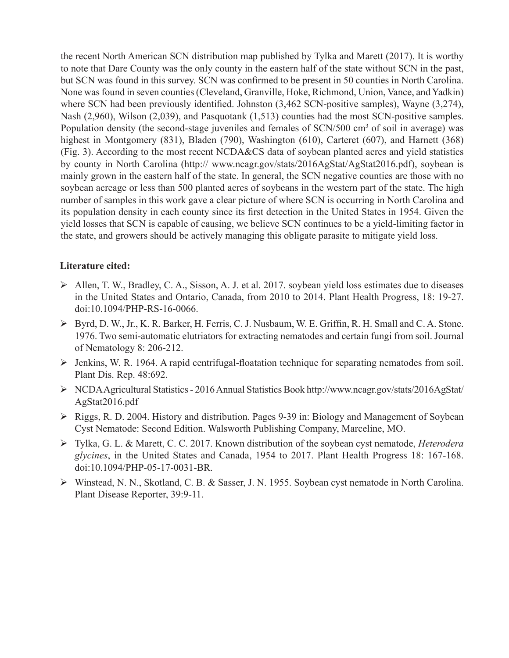the recent North American SCN distribution map published by Tylka and Marett (2017). It is worthy to note that Dare County was the only county in the eastern half of the state without SCN in the past, but SCN was found in this survey. SCN was confirmed to be present in 50 counties in North Carolina. None was found in seven counties (Cleveland, Granville, Hoke, Richmond, Union, Vance, and Yadkin) where SCN had been previously identified. Johnston (3,462 SCN-positive samples), Wayne (3,274), Nash (2,960), Wilson (2,039), and Pasquotank (1,513) counties had the most SCN-positive samples. Population density (the second-stage juveniles and females of SCN/500 cm<sup>3</sup> of soil in average) was highest in Montgomery (831), Bladen (790), Washington (610), Carteret (607), and Harnett (368) (Fig. 3). According to the most recent NCDA&CS data of soybean planted acres and yield statistics by county in North Carolina (http:// www.ncagr.gov/stats/2016AgStat/AgStat2016.pdf), soybean is mainly grown in the eastern half of the state. In general, the SCN negative counties are those with no soybean acreage or less than 500 planted acres of soybeans in the western part of the state. The high number of samples in this work gave a clear picture of where SCN is occurring in North Carolina and its population density in each county since its first detection in the United States in 1954. Given the yield losses that SCN is capable of causing, we believe SCN continues to be a yield-limiting factor in the state, and growers should be actively managing this obligate parasite to mitigate yield loss.

#### **Literature cited:**

- Allen, T. W., Bradley, C. A., Sisson, A. J. et al. 2017. soybean yield loss estimates due to diseases in the United States and Ontario, Canada, from 2010 to 2014. Plant Health Progress, 18: 19-27. doi:10.1094/PHP-RS-16-0066.
- Byrd, D. W., Jr., K. R. Barker, H. Ferris, C. J. Nusbaum, W. E. Griffin, R. H. Small and C. A. Stone. 1976. Two semi-automatic elutriators for extracting nematodes and certain fungi from soil. Journal of Nematology 8: 206-212.
- Jenkins, W. R. 1964. A rapid centrifugal-floatation technique for separating nematodes from soil. Plant Dis. Rep. 48:692.
- NCDA Agricultural Statistics 2016 Annual Statistics Book http://www.ncagr.gov/stats/2016AgStat/ AgStat2016.pdf
- $\triangleright$  Riggs, R. D. 2004. History and distribution. Pages 9-39 in: Biology and Management of Soybean Cyst Nematode: Second Edition. Walsworth Publishing Company, Marceline, MO.
- Tylka, G. L. & Marett, C. C. 2017. Known distribution of the soybean cyst nematode, *Heterodera glycines*, in the United States and Canada, 1954 to 2017. Plant Health Progress 18: 167-168. doi:10.1094/PHP-05-17-0031-BR.
- Winstead, N. N., Skotland, C. B. & Sasser, J. N. 1955. Soybean cyst nematode in North Carolina. Plant Disease Reporter, 39:9-11.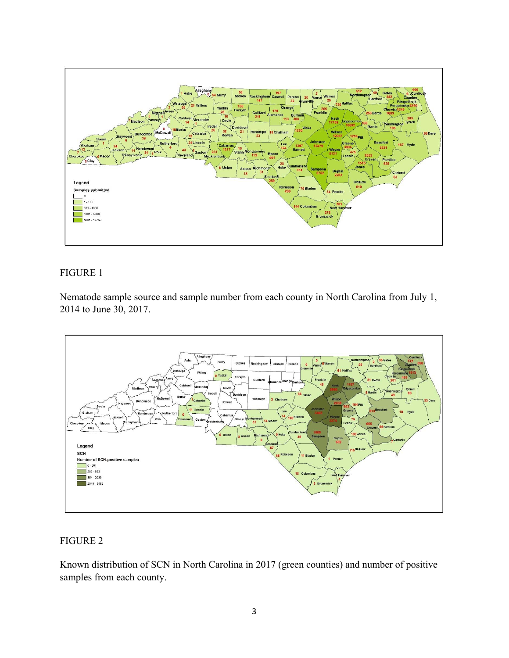

### FIGURE 1

Nematode sample source and sample number from each county in North Carolina from July 1, 2014 to June 30, 2017.



## FIGURE 2

Known distribution of SCN in North Carolina in 2017 (green counties) and number of positive samples from each county.